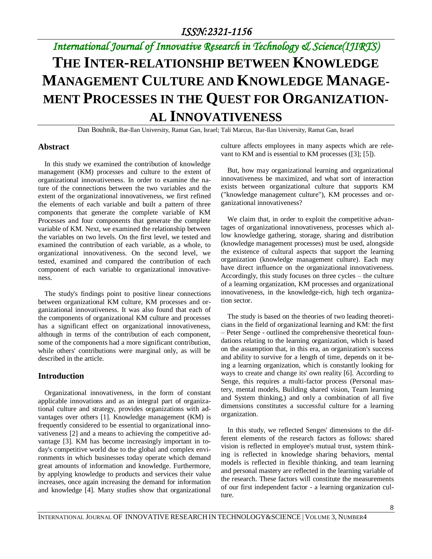# *International Journal of Innovative Research in Technology & Science(IJIRTS)* **THE INTER-RELATIONSHIP BETWEEN KNOWLEDGE MANAGEMENT CULTURE AND KNOWLEDGE MANAGE-MENT PROCESSES IN THE QUEST FOR ORGANIZATION-AL INNOVATIVENESS**

Dan Bouhnik, Bar-Ilan University, Ramat Gan, Israel; Tali Marcus, Bar-Ilan University, Ramat Gan, Israel

## **Abstract**

In this study we examined the contribution of knowledge management (KM) processes and culture to the extent of organizational innovativeness. In order to examine the nature of the connections between the two variables and the extent of the organizational innovativeness, we first refined the elements of each variable and built a pattern of three components that generate the complete variable of KM Processes and four components that generate the complete variable of KM. Next, we examined the relationship between the variables on two levels. On the first level, we tested and examined the contribution of each variable, as a whole, to organizational innovativeness. On the second level, we tested, examined and compared the contribution of each component of each variable to organizational innovativeness.

The study's findings point to positive linear connections between organizational KM culture, KM processes and organizational innovativeness. It was also found that each of the components of organizational KM culture and processes has a significant effect on organizational innovativeness, although in terms of the contribution of each component, some of the components had a more significant contribution, while others' contributions were marginal only, as will be described in the article.

## **Introduction**

Organizational innovativeness, in the form of constant applicable innovations and as an integral part of organizational culture and strategy, provides organizations with advantages over others [1]. Knowledge management (KM) is frequently considered to be essential to organizational innovativeness [2] and a means to achieving the competitive advantage [3]. KM has become increasingly important in today's competitive world due to the global and complex environments in which businesses today operate which demand great amounts of information and knowledge. Furthermore, by applying knowledge to products and services their value increases, once again increasing the demand for information and knowledge [4]. Many studies show that organizational culture affects employees in many aspects which are relevant to KM and is essential to KM processes ([3]; [5]).

But, how may organizational learning and organizational innovativeness be maximized, and what sort of interaction exists between organizational culture that supports KM ("knowledge management culture"), KM processes and organizational innovativeness?

We claim that, in order to exploit the competitive advantages of organizational innovativeness, processes which allow knowledge gathering, storage, sharing and distribution (knowledge management processes) must be used, alongside the existence of cultural aspects that support the learning organization (knowledge management culture). Each may have direct influence on the organizational innovativeness. Accordingly, this study focuses on three cycles – the culture of a learning organization, KM processes and organizational innovativeness, in the knowledge-rich, high tech organization sector.

The study is based on the theories of two leading theoreticians in the field of organizational learning and KM: the first – Peter Senge - outlined the comprehensive theoretical foundations relating to the learning organization, which is based on the assumption that, in this era, an organization's success and ability to survive for a length of time, depends on it being a learning organization, which is constantly looking for ways to create and change its' own reality [6]. According to Senge, this requires a multi-factor process (Personal mastery, mental models, Building shared vision, Team learning and System thinking,) and only a combination of all five dimensions constitutes a successful culture for a learning organization.

In this study, we reflected Senges' dimensions to the different elements of the research factors as follows: shared vision is reflected in employee's mutual trust, system thinking is reflected in knowledge sharing behaviors, mental models is reflected in flexible thinking, and team learning and personal mastery are reflected in the learning variable of the research. These factors will constitute the measurements of our first independent factor - a learning organization culture.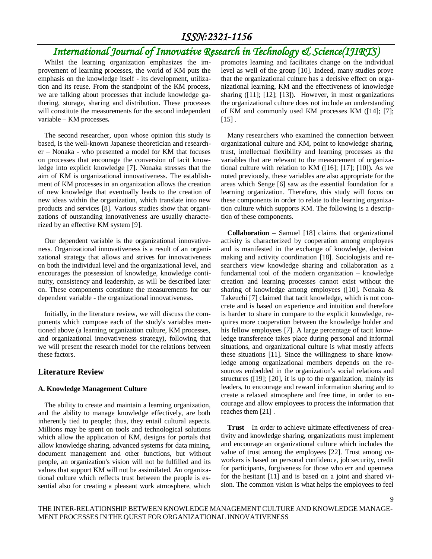# *International Journal of Innovative Research in Technology & Science(IJIRTS)*

Whilst the learning organization emphasizes the improvement of learning processes, the world of KM puts the emphasis on the knowledge itself - its development, utilization and its reuse. From the standpoint of the KM process, we are talking about processes that include knowledge gathering, storage, sharing and distribution. These processes will constitute the measurements for the second independent variable – KM processes**.**

The second researcher, upon whose opinion this study is based, is the well-known Japanese theoretician and researcher – Nonaka - who presented a model for KM that focuses on processes that encourage the conversion of tacit knowledge into explicit knowledge [7]. Nonaka stresses that the aim of KM is organizational innovativeness. The establishment of KM processes in an organization allows the creation of new knowledge that eventually leads to the creation of new ideas within the organization, which translate into new products and services [8]. Various studies show that organizations of outstanding innovativeness are usually characterized by an effective KM system [9].

Our dependent variable is the organizational innovativeness. Organizational innovativeness is a result of an organizational strategy that allows and strives for innovativeness on both the individual level and the organizational level, and encourages the possession of knowledge, knowledge continuity, consistency and leadership, as will be described later on. These components constitute the measurements for our dependent variable - the organizational innovativeness.

Initially, in the literature review, we will discuss the components which compose each of the study's variables mentioned above (a learning organization culture, KM processes, and organizational innovativeness strategy), following that we will present the research model for the relations between these factors.

### **Literature Review**

#### **A. Knowledge Management Culture**

The ability to create and maintain a learning organization, and the ability to manage knowledge effectively, are both inherently tied to people; thus, they entail cultural aspects. Millions may be spent on tools and technological solutions which allow the application of KM, designs for portals that allow knowledge sharing, advanced systems for data mining, document management and other functions, but without people, an organization's vision will not be fulfilled and its values that support KM will not be assimilated. An organizational culture which reflects trust between the people is essential also for creating a pleasant work atmosphere, which

promotes learning and facilitates change on the individual level as well of the group [10]. Indeed, many studies prove that the organizational culture has a decisive effect on organizational learning, KM and the effectiveness of knowledge sharing ([11]; [12]; [13]). However, in most organizations the organizational culture does not include an understanding of KM and commonly used KM processes KM ([14]; [7];  $[15]$ .

Many researchers who examined the connection between organizational culture and KM, point to knowledge sharing, trust, intellectual flexibility and learning processes as the variables that are relevant to the measurement of organizational culture with relation to KM ([16]; [17]; [10]). As we noted previously, these variables are also appropriate for the areas which Senge [6] saw as the essential foundation for a learning organization. Therefore, this study will focus on these components in order to relate to the learning organization culture which supports KM. The following is a description of these components.

**Collaboration** – Samuel [18] claims that organizational activity is characterized by cooperation among employees and is manifested in the exchange of knowledge, decision making and activity coordination [18]. Sociologists and researchers view knowledge sharing and collaboration as a fundamental tool of the modern organization – knowledge creation and learning processes cannot exist without the sharing of knowledge among employees ([10]. Nonaka & Takeuchi [7] claimed that tacit knowledge, which is not concrete and is based on experience and intuition and therefore is harder to share in compare to the explicit knowledge, requires more cooperation between the knowledge holder and his fellow employees [7]. A large percentage of tacit knowledge transference takes place during personal and informal situations, and organizational culture is what mostly affects these situations [11]. Since the willingness to share knowledge among organizational members depends on the resources embedded in the organization's social relations and structures ([19]; [20], it is up to the organization, mainly its leaders, to encourage and reward information sharing and to create a relaxed atmosphere and free time, in order to encourage and allow employees to process the information that reaches them [21] .

**Trust** – In order to achieve ultimate effectiveness of creativity and knowledge sharing, organizations must implement and encourage an organizational culture which includes the value of trust among the employees [22]. Trust among coworkers is based on personal confidence, job security, credit for participants, forgiveness for those who err and openness for the hesitant [11] and is based on a joint and shared vision. The common vision is what helps the employees to feel

9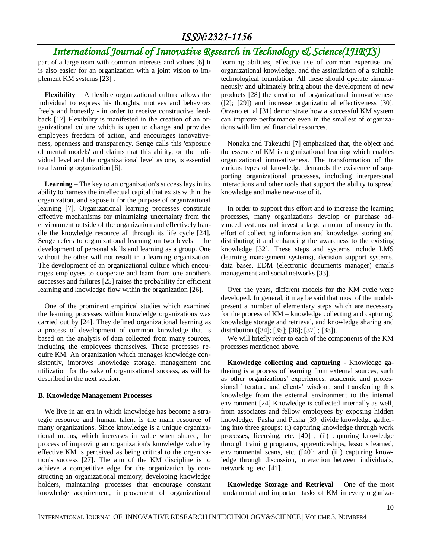# *International Journal of Innovative Research in Technology & Science(IJIRTS)*

part of a large team with common interests and values [6] It is also easier for an organization with a joint vision to implement KM systems [23] .

**Flexibility** – A flexible organizational culture allows the individual to express his thoughts, motives and behaviors freely and honestly - in order to receive constructive feedback [17] Flexibility is manifested in the creation of an organizational culture which is open to change and provides employees freedom of action, and encourages innovativeness, openness and transparency. Senge calls this 'exposure of mental models' and claims that this ability, on the individual level and the organizational level as one, is essential to a learning organization [6].

**Learning** – The key to an organization's success lays in its ability to harness the intellectual capital that exists within the organization, and expose it for the purpose of organizational learning [7]. Organizational learning processes constitute effective mechanisms for minimizing uncertainty from the environment outside of the organization and effectively handle the knowledge resource all through its life cycle [24]. Senge refers to organizational learning on two levels – the development of personal skills and learning as a group. One without the other will not result in a learning organization. The development of an organizational culture which encourages employees to cooperate and learn from one another's successes and failures [25] raises the probability for efficient learning and knowledge flow within the organization [26].

One of the prominent empirical studies which examined the learning processes within knowledge organizations was carried out by [24]. They defined organizational learning as a process of development of common knowledge that is based on the analysis of data collected from many sources, including the employees themselves. These processes require KM. An organization which manages knowledge consistently, improves knowledge storage, management and utilization for the sake of organizational success, as will be described in the next section.

### **B. Knowledge Management Processes**

We live in an era in which knowledge has become a strategic resource and human talent is the main resource of many organizations. Since knowledge is a unique organizational means, which increases in value when shared, the process of improving an organization's knowledge value by effective KM is perceived as being critical to the organization's success [27]. The aim of the KM discipline is to achieve a competitive edge for the organization by constructing an organizational memory, developing knowledge holders, maintaining processes that encourage constant knowledge acquirement, improvement of organizational

learning abilities, effective use of common expertise and organizational knowledge, and the assimilation of a suitable technological foundation. All these should operate simultaneously and ultimately bring about the development of new products [28] the creation of organizational innovativeness ([2]; [29]) and increase organizational effectiveness [30]. Orzano et. al [31] demonstrate how a successful KM system can improve performance even in the smallest of organizations with limited financial resources.

Nonaka and Takeuchi [7] emphasized that, the object and the essence of KM is organizational learning which enables organizational innovativeness. The transformation of the various types of knowledge demands the existence of supporting organizational processes, including interpersonal interactions and other tools that support the ability to spread knowledge and make new-use of it.

In order to support this effort and to increase the learning processes, many organizations develop or purchase advanced systems and invest a large amount of money in the effort of collecting information and knowledge, storing and distributing it and enhancing the awareness to the existing knowledge [32]. These steps and systems include LMS (learning management systems), decision support systems, data bases, EDM (electronic documents manager) emails management and social networks [33].

Over the years, different models for the KM cycle were developed. In general, it may be said that most of the models present a number of elementary steps which are necessary for the process of KM – knowledge collecting and capturing, knowledge storage and retrieval, and knowledge sharing and distribution ([34]; [35]; [36]; [37] ; [38]).

We will briefly refer to each of the components of the KM processes mentioned above.

**Knowledge collecting and capturing** - Knowledge gathering is a process of learning from external sources, such as other organizations' experiences, academic and professional literature and clients' wisdom, and transferring this knowledge from the external environment to the internal environment [24] Knowledge is collected internally as well, from associates and fellow employees by exposing hidden knowledge. Pasha and Pasha [39] divide knowledge gathering into three groups: (i) capturing knowledge through work processes, licensing, etc. [40] ; (ii) capturing knowledge through training programs, apprenticeships, lessons learned, environmental scans, etc. ([40]; and (iii) capturing knowledge through discussion, interaction between individuals, networking, etc. [41].

**Knowledge Storage and Retrieval** – One of the most fundamental and important tasks of KM in every organiza-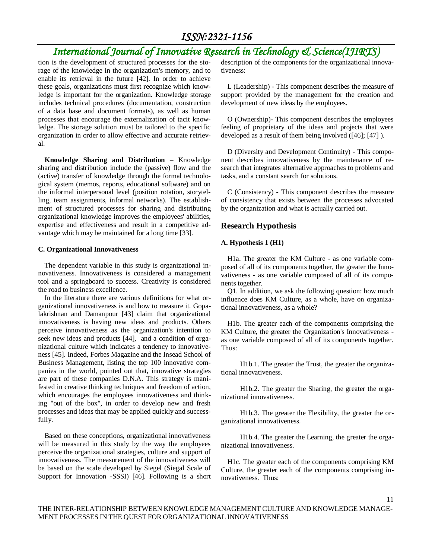# *International Journal of Innovative Research in Technology & Science(IJIRTS)*

tion is the development of structured processes for the storage of the knowledge in the organization's memory, and to enable its retrieval in the future [42]. In order to achieve these goals, organizations must first recognize which knowledge is important for the organization. Knowledge storage includes technical procedures (documentation, construction of a data base and document formats), as well as human processes that encourage the externalization of tacit knowledge. The storage solution must be tailored to the specific organization in order to allow effective and accurate retrieval.

**Knowledge Sharing and Distribution** – Knowledge sharing and distribution include the (passive) flow and the (active) transfer of knowledge through the formal technological system (memos, reports, educational software) and on the informal interpersonal level (position rotation, storytelling, team assignments, informal networks). The establishment of structured processes for sharing and distributing organizational knowledge improves the employees' abilities, expertise and effectiveness and result in a competitive advantage which may be maintained for a long time [33].

#### **C. Organizational Innovativeness**

The dependent variable in this study is organizational innovativeness. Innovativeness is considered a management tool and a springboard to success. Creativity is considered the road to business excellence.

In the literature there are various definitions for what organizational innovativeness is and how to measure it. Gopalakrishnan and Damanpour [43] claim that organizational innovativeness is having new ideas and products. Others perceive innovativeness as the organization's intention to seek new ideas and products [44], and a condition of organizational culture which indicates a tendency to innovativeness [45]. Indeed, Forbes Magazine and the Insead School of Business Management, listing the top 100 innovative companies in the world, pointed out that, innovative strategies are part of these companies D.N.A. This strategy is manifested in creative thinking techniques and freedom of action, which encourages the employees innovativeness and thinking "out of the box", in order to develop new and fresh processes and ideas that may be applied quickly and successfully.

Based on these conceptions, organizational innovativeness will be measured in this study by the way the employees perceive the organizational strategies, culture and support of innovativeness. The measurement of the innovativeness will be based on the scale developed by Siegel (Siegal Scale of Support for Innovation -SSSI) [46]. Following is a short description of the components for the organizational innovativeness:

L (Leadership) - This component describes the measure of support provided by the management for the creation and development of new ideas by the employees.

O (Ownership)- This component describes the employees feeling of proprietary of the ideas and projects that were developed as a result of them being involved ([46]; [47] ).

D (Diversity and Development Continuity) - This component describes innovativeness by the maintenance of research that integrates alternative approaches to problems and tasks, and a constant search for solutions.

C (Consistency) - This component describes the measure of consistency that exists between the processes advocated by the organization and what is actually carried out.

## **Research Hypothesis**

#### **A. Hypothesis 1 (H1)**

H1a. The greater the KM Culture - as one variable composed of all of its components together, the greater the Innovativeness - as one variable composed of all of its components together.

Q1. In addition, we ask the following question: how much influence does KM Culture, as a whole, have on organizational innovativeness, as a whole?

H1b. The greater each of the components comprising the KM Culture, the greater the Organization's Innovativeness as one variable composed of all of its components together. Thus:

H1b.1. The greater the Trust, the greater the organizational innovativeness.

H1b.2. The greater the Sharing, the greater the organizational innovativeness.

H1b.3. The greater the Flexibility, the greater the organizational innovativeness.

H1b.4. The greater the Learning, the greater the organizational innovativeness.

H1c. The greater each of the components comprising KM Culture, the greater each of the components comprising innovativeness. Thus:

11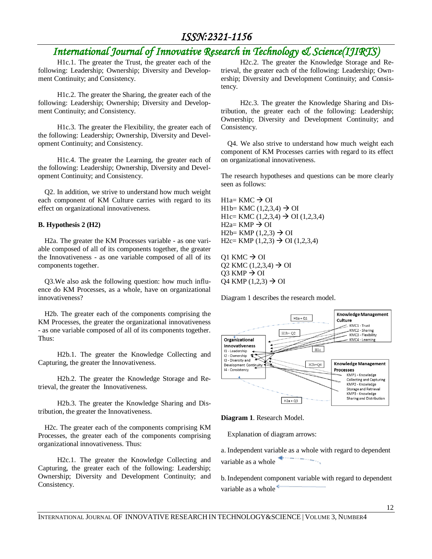# *International Journal of Innovative Research in Technology & Science(IJIRTS)*

H1c.1. The greater the Trust, the greater each of the following: Leadership; Ownership; Diversity and Development Continuity; and Consistency.

H1c.2. The greater the Sharing, the greater each of the following: Leadership; Ownership; Diversity and Development Continuity; and Consistency.

H1c.3. The greater the Flexibility, the greater each of the following: Leadership; Ownership, Diversity and Development Continuity; and Consistency.

H1c.4. The greater the Learning, the greater each of the following: Leadership; Ownership, Diversity and Development Continuity; and Consistency.

Q2. In addition, we strive to understand how much weight each component of KM Culture carries with regard to its effect on organizational innovativeness.

### **B. Hypothesis 2 (H2)**

H2a. The greater the KM Processes variable - as one variable composed of all of its components together, the greater the Innovativeness - as one variable composed of all of its components together.

Q3.We also ask the following question: how much influence do KM Processes, as a whole, have on organizational innovativeness?

H2b. The greater each of the components comprising the KM Processes, the greater the organizational innovativeness - as one variable composed of all of its components together. Thus:

H2b.1. The greater the Knowledge Collecting and Capturing, the greater the Innovativeness.

H2b.2. The greater the Knowledge Storage and Retrieval, the greater the Innovativeness.

H2b.3. The greater the Knowledge Sharing and Distribution, the greater the Innovativeness.

H2c. The greater each of the components comprising KM Processes, the greater each of the components comprising organizational innovativeness. Thus:

H2c.1. The greater the Knowledge Collecting and Capturing, the greater each of the following: Leadership; Ownership; Diversity and Development Continuity; and Consistency.

H2c.2. The greater the Knowledge Storage and Retrieval, the greater each of the following: Leadership; Ownership; Diversity and Development Continuity; and Consistency.

H2c.3. The greater the Knowledge Sharing and Distribution, the greater each of the following: Leadership; Ownership; Diversity and Development Continuity; and Consistency.

Q4. We also strive to understand how much weight each component of KM Processes carries with regard to its effect on organizational innovativeness.

The research hypotheses and questions can be more clearly seen as follows:

 $H1a= KMC \rightarrow OI$ H<sub>1</sub>b = KMC (1,2,3,4)  $\rightarrow$  OI H1c= KMC  $(1,2,3,4) \rightarrow$  OI  $(1,2,3,4)$  $H2a= KMP \rightarrow OI$ H2b= KMP  $(1,2,3) \rightarrow OI$  $H2c= KMP (1,2,3) \rightarrow OI (1,2,3,4)$ 

 $Q1$  KMC  $\rightarrow$  OI Q2 KMC  $(1,2,3,4) \to \text{OI}$  $Q3$  KMP  $\rightarrow$  OI Q4 KMP  $(1,2,3) \rightarrow$  OI

Diagram 1 describes the research model.



**Diagram 1**. Research Model.

Explanation of diagram arrows:

a. Independent variable as a whole with regard to dependent variable as a whole

b. Independent component variable with regard to dependent variable as a whole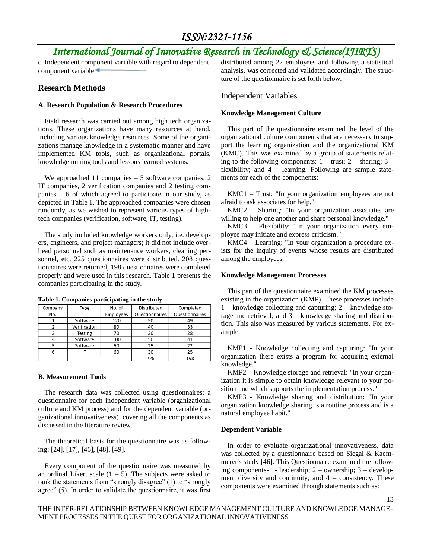# *International Journal of Innovative Research in Technology & Science(IJIRTS)*

c. Independent component variable with regard to dependent component variable

## **Research Methods**

### **A. Research Population & Research Procedures**

Field research was carried out among high tech organizations. These organizations have many resources at hand, including various knowledge resources. Some of the organizations manage knowledge in a systematic manner and have implemented KM tools, such as organizational portals, knowledge mining tools and lessons learned systems.

We approached 11 companies – 5 software companies, 2 IT companies, 2 verification companies and 2 testing companies – 6 of which agreed to participate in our study, as depicted in Table 1. The approached companies were chosen randomly, as we wished to represent various types of hightech companies (verification, software, IT, testing).

The study included knowledge workers only, i.e. developers, engineers, and project managers; it did not include overhead personnel such as maintenance workers, cleaning personnel, etc. 225 questionnaires were distributed. 208 questionnaires were returned, 198 questionnaires were completed properly and were used in this research. Table 1 presents the companies participating in the study.

| Company | Type         | No. of    | Distributed    | Completed      |
|---------|--------------|-----------|----------------|----------------|
| No.     |              | Employees | Questionnaires | Questionnaires |
|         | Software     | 120       | 50             | 49             |
|         | Verification | 80        | 40             | 33             |
|         | Testing      | 70        | 30             | 28             |
|         | Software     | 100       | 50             | 41             |
|         | Software     | 50        | 25             | 22             |
| 6       |              | 60        | 30             | 25             |
|         |              |           | 225            | 198            |

**Table 1. Companies participating in the study**

### **B. Measurement Tools**

The research data was collected using questionnaires: a questionnaire for each independent variable (organizational culture and KM process) and for the dependent variable (organizational innovativeness), covering all the components as discussed in the literature review.

The theoretical basis for the questionnaire was as following: [24], [17], [46], [48], [49].

Every component of the questionnaire was measured by an ordinal Likert scale  $(1 - 5)$ . The subjects were asked to rank the statements from "strongly disagree" (1) to "strongly agree" (5). In order to validate the questionnaire, it was first

distributed among 22 employees and following a statistical analysis, was corrected and validated accordingly. The structure of the questionnaire is set forth below.

### Independent Variables

#### **Knowledge Management Culture**

This part of the questionnaire examined the level of the organizational culture components that are necessary to support the learning organization and the organizational KM (KMC). This was examined by a group of statements relating to the following components:  $1 - \text{trust}$ ;  $2 - \text{sharp}$ ;  $3 - \text{turn}$ flexibility; and 4 – learning. Following are sample statements for each of the components:

KMC1 – Trust: "In your organization employees are not afraid to ask associates for help."

KMC2 – Sharing: "In your organization associates are willing to help one another and share personal knowledge."

KMC3 – Flexibility: "In your organization every employee may initiate and express criticism."

KMC4 – Learning: "In your organization a procedure exists for the inquiry of events whose results are distributed among the employees."

#### **Knowledge Management Processes**

This part of the questionnaire examined the KM processes existing in the organization (KMP). These processes include 1 – knowledge collecting and capturing; 2 – knowledge storage and retrieval; and 3 – knowledge sharing and distribution. This also was measured by various statements. For example:

KMP1 - Knowledge collecting and capturing: "In your organization there exists a program for acquiring external knowledge."

KMP2 – Knowledge storage and retrieval: "In your organization it is simple to obtain knowledge relevant to your position and which supports the implementation process."

KMP3 - Knowledge sharing and distribution: "In your organization knowledge sharing is a routine process and is a natural employee habit."

#### **Dependent Variable**

In order to evaluate organizational innovativeness, data was collected by a questionnaire based on Siegal & Kaemmerer's study [46]. This Questionnaire examined the following components- 1- leadership; 2 – ownership; 3 – development diversity and continuity; and  $4 - \text{consistency}$ . These components were examined through statements such as: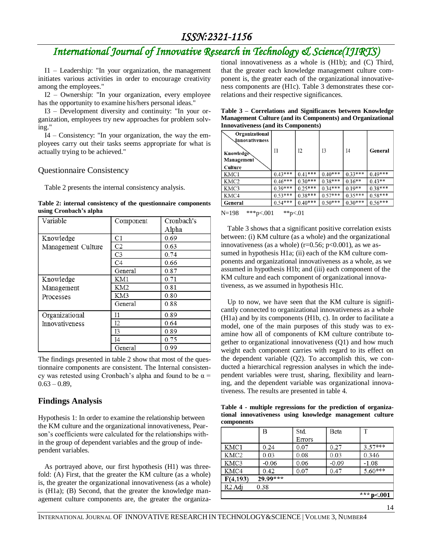# *International Journal of Innovative Research in Technology & Science(IJIRTS)*

I1 – Leadership: "In your organization, the management initiates various activities in order to encourage creativity among the employees."

I2 – Ownership: "In your organization, every employee has the opportunity to examine his/hers personal ideas."

I3 – Development diversity and continuity: "In your organization, employees try new approaches for problem solving."

I4 – Consistency: "In your organization, the way the employees carry out their tasks seems appropriate for what is actually trying to be achieved."

## Questionnaire Consistency

Table 2 presents the internal consistency analysis.

|                        | Table 2: internal consistency of the questionnaire components |  |
|------------------------|---------------------------------------------------------------|--|
| using Cronbach's alpha |                                                               |  |

| Variable           | Component      | Cronbach's |
|--------------------|----------------|------------|
|                    |                | Alpha      |
| Knowledge          | C1             | 0.69       |
| Management Culture | C <sub>2</sub> | 0.63       |
|                    | C <sub>3</sub> | 0.74       |
|                    | C <sub>4</sub> | 0.66       |
|                    | General        | 0.87       |
| Knowledge          | KM1            | 0.71       |
| Management         | KM2            | 0.81       |
| Processes          | KM3            | 0.80       |
|                    | General        | 0.88       |
| Organizational     | 11             | 0.89       |
| Innovativeness     | I2             | 0.64       |
|                    | I3             | 0.89       |
|                    | I4             | 0.75       |
|                    | General        | 0.99       |

The findings presented in table 2 show that most of the questionnaire components are consistent. The Internal consistency was retested using Cronbach's alpha and found to be  $\alpha$  =  $0.63 - 0.89$ ,

## **Findings Analysis**

Hypothesis 1: In order to examine the relationship between the KM culture and the organizational innovativeness, Pearson's coefficients were calculated for the relationships within the group of dependent variables and the group of independent variables.

As portrayed above, our first hypothesis (H1) was threefold: (A) First, that the greater the KM culture (as a whole) is, the greater the organizational innovativeness (as a whole) is (H1a); (B) Second, that the greater the knowledge management culture components are, the greater the organizational innovativeness as a whole is (H1b); and (C) Third, that the greater each knowledge management culture component is, the greater each of the organizational innovativeness components are (H1c). Table 3 demonstrates these correlations and their respective significances.

| Table 3 – Correlations and Significances between Knowledge        |  |  |  |
|-------------------------------------------------------------------|--|--|--|
| <b>Management Culture (and its Components) and Organizational</b> |  |  |  |
| <b>Innovativeness (and its Components)</b>                        |  |  |  |
|                                                                   |  |  |  |

| Organizational<br>Jnnovativeness<br><b>Knowledge</b><br>Management | 11        | Ι2        | 13        | I4        | General   |
|--------------------------------------------------------------------|-----------|-----------|-----------|-----------|-----------|
| Culture                                                            |           |           |           |           |           |
| KMC1                                                               | $0.43***$ | $0.41***$ | $0.40***$ | $0.33***$ | $0.49***$ |
| KMC <sub>2</sub>                                                   | $0.46***$ | $0.30***$ | $0.38***$ | $0.16**$  | $0.43**$  |
| KMC3                                                               | $0.39***$ | $0.25***$ | $0.34***$ | $0.19**$  | $0.38***$ |
| KMC4                                                               | $0.53***$ | $0.38***$ | $0.57***$ | $0.35***$ | $0.58***$ |
| General                                                            | $0.54***$ | $0.40***$ | $0.50***$ | $0.30***$ | $0.56***$ |

N=198 \*\*\*p<.001 \*\*p<.01

Table 3 shows that a significant positive correlation exists between: (i) KM culture (as a whole) and the organizational innovativeness (as a whole) ( $r=0.56$ ;  $p<0.001$ ), as we assumed in hypothesis H1a; (ii) each of the KM culture components and organizational innovativeness as a whole, as we assumed in hypothesis H1b; and (iii) each component of the KM culture and each component of organizational innovativeness, as we assumed in hypothesis H1c.

Up to now, we have seen that the KM culture is significantly connected to organizational innovativeness as a whole (H1a) and by its components (H1b, c). In order to facilitate a model, one of the main purposes of this study was to examine how all of components of KM culture contribute together to organizational innovativeness (Q1) and how much weight each component carries with regard to its effect on the dependent variable (Q2). To accomplish this, we conducted a hierarchical regression analyses in which the independent variables were trust, sharing, flexibility and learning, and the dependent variable was organizational innovativeness. The results are presented in table 4.

**Table 4 - multiple regressions for the prediction of organizational innovativeness using knowledge management culture components**

|                    | B          | Std.   | Beta    | T          |
|--------------------|------------|--------|---------|------------|
|                    |            | Errors |         |            |
| KMC1               | 0.24       | 0.07   | 0.27    | $3.57***$  |
| KMC <sub>2</sub>   | 0.03       | 0.08   | 0.03    | 0.346      |
| KMC3               | $-0.06$    | 0.06   | $-0.09$ | $-1.08$    |
| KMC4               | 0.42       | 0.07   | 0.47    | $5.60***$  |
| F(4,193)           | $29.99***$ |        |         |            |
| R <sub>2</sub> Adj | 0.38       |        |         |            |
|                    |            |        |         | *** p<.001 |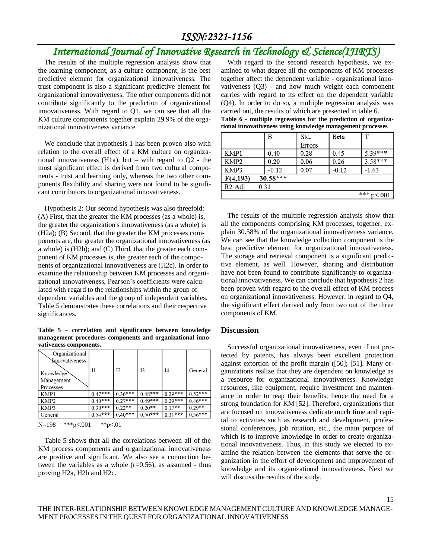# *International Journal of Innovative Research in Technology & Science(IJIRTS)*

The results of the multiple regression analysis show that the learning component, as a culture component, is the best predictive element for organizational innovativeness. The trust component is also a significant predictive element for organizational innovativeness. The other components did not contribute significantly to the prediction of organizational innovativeness. With regard to Q1, we can see that all the KM culture components together explain 29.9% of the organizational innovativeness variance.

We conclude that hypothesis 1 has been proven also with relation to the overall effect of a KM culture on organizational innovativeness (H1a), but – with regard to  $Q2$  - the most significant effect is derived from two cultural components - trust and learning only, whereas the two other components flexibility and sharing were not found to be significant contributors to organizational innovativeness.

Hypothesis 2: Our second hypothesis was also threefold: (A) First, that the greater the KM processes (as a whole) is, the greater the organization's innovativeness (as a whole) is (H2a); (B) Second, that the greater the KM processes components are, the greater the organizational innovativeness (as a whole) is (H2b); and (C) Third, that the greater each component of KM processes is, the greater each of the components of organizational innovativeness are (H2c). In order to examine the relationship between KM processes and organizational innovativeness, Pearson's coefficients were calculated with regard to the relationships within the group of dependent variables and the group of independent variables. Table 5 demonstrates these correlations and their respective significances.

**Table 5 – correlation and significance between knowledge management procedures components and organizational innovativeness components.**

| Organizational<br><b>N</b> unovativeness<br>Knowledge<br>Management<br>Processes | 11        | I2        | 13        | I4        | General   |
|----------------------------------------------------------------------------------|-----------|-----------|-----------|-----------|-----------|
| KMP1                                                                             | $0.47***$ | $0.36***$ | $0.48***$ | $0.29***$ | $0.52***$ |
| KMP <sub>2</sub>                                                                 | $0.40***$ | $0.27***$ | $0.49***$ | $0.29***$ | $0.46***$ |
| KMP3                                                                             | $0.30***$ | $0.22**$  | $0.20**$  | $0.17**$  | $0.29**$  |
| General                                                                          | $0.54***$ | $0.40***$ | $0.50***$ | $0.31***$ | $0.56***$ |

```
N=198 ***p<.001 **p<.01
```
Table 5 shows that all the correlations between all of the KM process components and organizational innovativeness are positive and significant. We also see a connection between the variables as a whole (r=0.56), as assumed - thus proving H2a, H2b and H2c.

With regard to the second research hypothesis, we examined to what degree all the components of KM processes together affect the dependent variable - organizational innovativeness (Q3) - and how much weight each component carries with regard to its effect on the dependent variable (Q4). In order to do so, a multiple regression analysis was carried out, the results of which are presented in table 6.

**Table 6 - multiple regressions for the prediction of organizational innovativeness using knowledge management processes**

|                    | Β          | Std.   | Beta    | T            |
|--------------------|------------|--------|---------|--------------|
|                    |            | Errors |         |              |
| KMP1               | 0.40       | 0.28   | 0.45    | 5.39***      |
| KMP <sub>2</sub>   | 0.20       | 0.06   | 0.26    | $3.58***$    |
| KMP3               | $-0.12$    | 0.07   | $-0.12$ | $-1.63$      |
| F(4,193)           | $30.58***$ |        |         |              |
| R <sub>2</sub> Adj | 0.31       |        |         |              |
|                    |            |        |         | *** $p<.001$ |

The results of the multiple regression analysis show that all the components comprising KM processes, together, explain 30.58% of the organizational innovativeness variance. We can see that the knowledge collection component is the best predictive element for organizational innovativeness. The storage and retrieval component is a significant predictive element, as well. However, sharing and distribution have not been found to contribute significantly to organizational innovativeness. We can conclude that hypothesis 2 has been proven with regard to the overall effect of KM process on organizational innovativeness. However, in regard to Q4, the significant effect derived only from two out of the three components of KM.

## **Discussion**

Successful organizational innovativeness, even if not protected by patents, has always been excellent protection against extortion of the profit margin ([50]; [51]. Many organizations realize that they are dependent on knowledge as a resource for organizational innovativeness. Knowledge resources, like equipment, require investment and maintenance in order to reap their benefits; hence the need for a strong foundation for KM [52]. Therefore, organizations that are focused on innovativeness dedicate much time and capital to activities such as research and development, professional conferences, job rotation, etc., the main purpose of which is to improve knowledge in order to create organizational innovativeness. Thus, in this study we elected to examine the relation between the elements that serve the organization in the effort of development and improvement of knowledge and its organizational innovativeness. Next we will discuss the results of the study.

15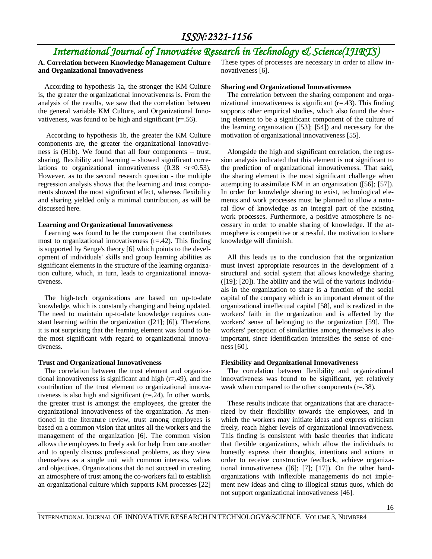# *International Journal of Innovative Research in Technology & Science(IJIRTS)*

## **A. Correlation between Knowledge Management Culture and Organizational Innovativeness**

According to hypothesis 1a, the stronger the KM Culture is, the greater the organizational innovativeness is. From the analysis of the results, we saw that the correlation between the general variable KM Culture, and Organizational Innovativeness, was found to be high and significant  $(r=.56)$ .

According to hypothesis 1b, the greater the KM Culture components are, the greater the organizational innovativeness is (H1b). We found that all four components – trust, sharing, flexibility and learning – showed significant correlations to organizational innovativeness  $(0.38 \le r \le 0.53)$ . However, as to the second research question - the multiple regression analysis shows that the learning and trust components showed the most significant effect, whereas flexibility and sharing yielded only a minimal contribution, as will be discussed here.

#### **Learning and Organizational Innovativeness**

Learning was found to be the component that contributes most to organizational innovativeness (r=.42). This finding is supported by Senge's theory [6] which points to the development of individuals' skills and group learning abilities as significant elements in the structure of the learning organization culture, which, in turn, leads to organizational innovativeness.

The high-tech organizations are based on up-to-date knowledge, which is constantly changing and being updated. The need to maintain up-to-date knowledge requires constant learning within the organization ([21]; [6]). Therefore, it is not surprising that the learning element was found to be the most significant with regard to organizational innovativeness.

#### **Trust and Organizational Innovativeness**

The correlation between the trust element and organizational innovativeness is significant and high (r=.49), and the contribution of the trust element to organizational innovativeness is also high and significant (r=.24). In other words, the greater trust is amongst the employees, the greater the organizational innovativeness of the organization. As mentioned in the literature review, trust among employees is based on a common vision that unites all the workers and the management of the organization [6]. The common vision allows the employees to freely ask for help from one another and to openly discuss professional problems, as they view themselves as a single unit with common interests, values and objectives. Organizations that do not succeed in creating an atmosphere of trust among the co-workers fail to establish an organizational culture which supports KM processes [22]

These types of processes are necessary in order to allow innovativeness [6].

#### **Sharing and Organizational Innovativeness**

The correlation between the sharing component and organizational innovativeness is significant  $(r=0.43)$ . This finding supports other empirical studies, which also found the sharing element to be a significant component of the culture of the learning organization ([53]; [54]) and necessary for the motivation of organizational innovativeness [55].

Alongside the high and significant correlation, the regression analysis indicated that this element is not significant to the prediction of organizational innovativeness. That said, the sharing element is the most significant challenge when attempting to assimilate KM in an organization ([56]; [57]). In order for knowledge sharing to exist, technological elements and work processes must be planned to allow a natural flow of knowledge as an integral part of the existing work processes. Furthermore, a positive atmosphere is necessary in order to enable sharing of knowledge. If the atmosphere is competitive or stressful, the motivation to share knowledge will diminish.

All this leads us to the conclusion that the organization must invest appropriate resources in the development of a structural and social system that allows knowledge sharing ([19]; [20]). The ability and the will of the various individuals in the organization to share is a function of the social capital of the company which is an important element of the organizational intellectual capital [58], and is realized in the workers' faith in the organization and is affected by the workers' sense of belonging to the organization [59]. The workers' perception of similarities among themselves is also important, since identification intensifies the sense of oneness [60].

#### **Flexibility and Organizational Innovativeness**

The correlation between flexibility and organizational innovativeness was found to be significant, yet relatively weak when compared to the other components (r=.38).

These results indicate that organizations that are characterized by their flexibility towards the employees, and in which the workers may initiate ideas and express criticism freely, reach higher levels of organizational innovativeness. This finding is consistent with basic theories that indicate that flexible organizations, which allow the individuals to honestly express their thoughts, intentions and actions in order to receive constructive feedback, achieve organizational innovativeness ([6]; [7]; [17]). On the other handorganizations with inflexible managements do not implement new ideas and cling to illogical status quos, which do not support organizational innovativeness [46].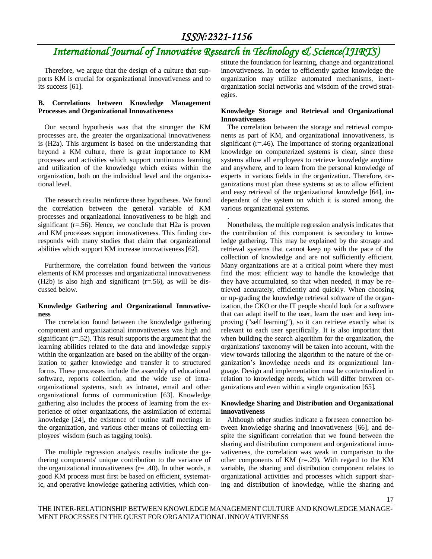# *International Journal of Innovative Research in Technology & Science(IJIRTS)*

.

Therefore, we argue that the design of a culture that supports KM is crucial for organizational innovativeness and to its success [61].

### **B. Correlations between Knowledge Management Processes and Organizational Innovativeness**

Our second hypothesis was that the stronger the KM processes are, the greater the organizational innovativeness is (H2a). This argument is based on the understanding that beyond a KM culture, there is great importance to KM processes and activities which support continuous learning and utilization of the knowledge which exists within the organization, both on the individual level and the organizational level.

The research results reinforce these hypotheses. We found the correlation between the general variable of KM processes and organizational innovativeness to be high and significant  $(r=.56)$ . Hence, we conclude that H2a is proven and KM processes support innovativeness. This finding corresponds with many studies that claim that organizational abilities which support KM increase innovativeness [62].

Furthermore, the correlation found between the various elements of KM processes and organizational innovativeness  $(H2b)$  is also high and significant  $(r=0.56)$ , as will be discussed below.

### **Knowledge Gathering and Organizational Innovativeness**

The correlation found between the knowledge gathering component and organizational innovativeness was high and significant (r=.52). This result supports the argument that the learning abilities related to the data and knowledge supply within the organization are based on the ability of the organization to gather knowledge and transfer it to structured forms. These processes include the assembly of educational software, reports collection, and the wide use of intraorganizational systems, such as intranet, email and other organizational forms of communication [63]. Knowledge gathering also includes the process of learning from the experience of other organizations, the assimilation of external knowledge [24], the existence of routine staff meetings in the organization, and various other means of collecting employees' wisdom (such as tagging tools).

The multiple regression analysis results indicate the gathering components' unique contribution to the variance of the organizational innovativeness  $(r= .40)$ . In other words, a good KM process must first be based on efficient, systematic, and operative knowledge gathering activities, which constitute the foundation for learning, change and organizational innovativeness. In order to efficiently gather knowledge the organization may utilize automated mechanisms, inertorganization social networks and wisdom of the crowd strategies.

### **Knowledge Storage and Retrieval and Organizational Innovativeness**

The correlation between the storage and retrieval components as part of KM, and organizational innovativeness, is significant  $(r=.46)$ . The importance of storing organizational knowledge on computerized systems is clear, since these systems allow all employees to retrieve knowledge anytime and anywhere, and to learn from the personal knowledge of experts in various fields in the organization. Therefore, organizations must plan these systems so as to allow efficient and easy retrieval of the organizational knowledge [64], independent of the system on which it is stored among the various organizational systems.

Nonetheless, the multiple regression analysis indicates that the contribution of this component is secondary to knowledge gathering. This may be explained by the storage and retrieval systems that cannot keep up with the pace of the collection of knowledge and are not sufficiently efficient. Many organizations are at a critical point where they must find the most efficient way to handle the knowledge that they have accumulated, so that when needed, it may be retrieved accurately, efficiently and quickly. When choosing or up-grading the knowledge retrieval software of the organization, the CKO or the IT people should look for a software that can adapt itself to the user, learn the user and keep improving ("self learning"), so it can retrieve exactly what is relevant to each user specifically. It is also important that when building the search algorithm for the organization, the organizations' taxonomy will be taken into account, with the view towards tailoring the algorithm to the nature of the organization's knowledge needs and its organizational language. Design and implementation must be contextualized in relation to knowledge needs, which will differ between organizations and even within a single organization [65].

### **Knowledge Sharing and Distribution and Organizational innovativeness**

Although other studies indicate a foreseen connection between knowledge sharing and innovativeness [66], and despite the significant correlation that we found between the sharing and distribution component and organizational innovativeness, the correlation was weak in comparison to the other components of KM  $(r=.29)$ . With regard to the KM variable, the sharing and distribution component relates to organizational activities and processes which support sharing and distribution of knowledge, while the sharing and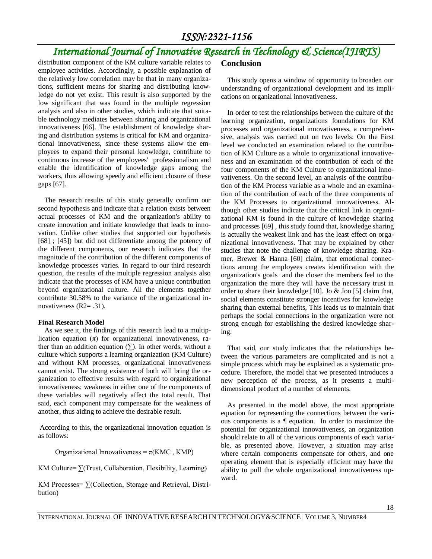# *International Journal of Innovative Research in Technology & Science(IJIRTS)*

distribution component of the KM culture variable relates to employee activities. Accordingly, a possible explanation of the relatively low correlation may be that in many organizations, sufficient means for sharing and distributing knowledge do not yet exist. This result is also supported by the low significant that was found in the multiple regression analysis and also in other studies, which indicate that suitable technology mediates between sharing and organizational innovativeness [66]. The establishment of knowledge sharing and distribution systems is critical for KM and organizational innovativeness, since these systems allow the employees to expand their personal knowledge, contribute to continuous increase of the employees' professionalism and enable the identification of knowledge gaps among the workers, thus allowing speedy and efficient closure of these gaps [67].

The research results of this study generally confirm our second hypothesis and indicate that a relation exists between actual processes of KM and the organization's ability to create innovation and initiate knowledge that leads to innovation. Unlike other studies that supported our hypothesis [68] ; [45]) but did not differentiate among the potency of the different components, our research indicates that the magnitude of the contribution of the different components of knowledge processes varies. In regard to our third research question, the results of the multiple regression analysis also indicate that the processes of KM have a unique contribution beyond organizational culture. All the elements together contribute 30.58% to the variance of the organizational innovativeness (R2= .31).

#### **Final Research Model**

As we see it, the findings of this research lead to a multiplication equation  $(\pi)$  for organizational innovativeness, rather than an addition equation  $(\Sigma)$ . In other words, without a culture which supports a learning organization (KM Culture) and without KM processes, organizational innovativeness cannot exist. The strong existence of both will bring the organization to effective results with regard to organizational innovativeness; weakness in either one of the components of these variables will negatively affect the total result. That said, each component may compensate for the weakness of another, thus aiding to achieve the desirable result.

According to this, the organizational innovation equation is as follows:

Organizational Innovativeness =  $\pi$ (KMC, KMP)

KM Culture=  $\Sigma$ (Trust, Collaboration, Flexibility, Learning)

KM Processes= ∑(Collection, Storage and Retrieval, Distribution)

## **Conclusion**

This study opens a window of opportunity to broaden our understanding of organizational development and its implications on organizational innovativeness.

In order to test the relationships between the culture of the learning organization, organizations foundations for KM processes and organizational innovativeness, a comprehensive, analysis was carried out on two levels: On the First level we conducted an examination related to the contribution of KM Culture as a whole to organizational innovativeness and an examination of the contribution of each of the four components of the KM Culture to organizational innovativeness. On the second level, an analysis of the contribution of the KM Process variable as a whole and an examination of the contribution of each of the three components of the KM Processes to organizational innovativeness. Although other studies indicate that the critical link in organizational KM is found in the culture of knowledge sharing and processes [69] , this study found that, knowledge sharing is actually the weakest link and has the least effect on organizational innovativeness. That may be explained by other studies that note the challenge of knowledge sharing. Kramer, Brewer & Hanna [60] claim, that emotional connections among the employees creates identification with the organization's goals and the closer the members feel to the organization the more they will have the necessary trust in order to share their knowledge [10]. Jo & Joo [5] claim that, social elements constitute stronger incentives for knowledge sharing than external benefits, This leads us to maintain that perhaps the social connections in the organization were not strong enough for establishing the desired knowledge sharing.

That said, our study indicates that the relationships between the various parameters are complicated and is not a simple process which may be explained as a systematic procedure. Therefore, the model that we presented introduces a new perception of the process, as it presents a multidimensional product of a number of elements.

As presented in the model above, the most appropriate equation for representing the connections between the various components is a ¶ equation. In order to maximize the potential for organizational innovativeness, an organization should relate to all of the various components of each variable, as presented above. However, a situation may arise where certain components compensate for others, and one operating element that is especially efficient may have the ability to pull the whole organizational innovativeness upward.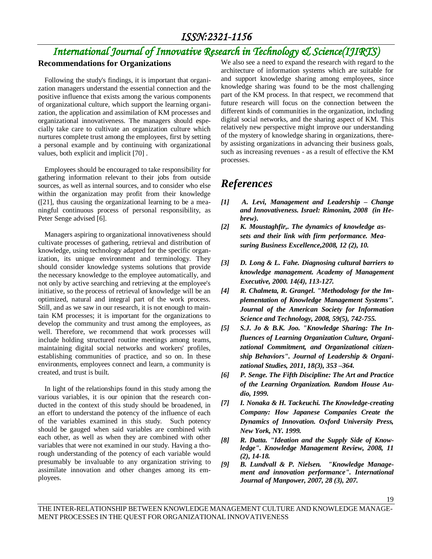# *International Journal of Innovative Research in Technology & Science(IJIRTS)*

## **Recommendations for Organizations**

Following the study's findings, it is important that organization managers understand the essential connection and the positive influence that exists among the various components of organizational culture, which support the learning organization, the application and assimilation of KM processes and organizational innovativeness. The managers should especially take care to cultivate an organization culture which nurtures complete trust among the employees, first by setting a personal example and by continuing with organizational values, both explicit and implicit [70] .

Employees should be encouraged to take responsibility for gathering information relevant to their jobs from outside sources, as well as internal sources, and to consider who else within the organization may profit from their knowledge ([21], thus causing the organizational learning to be a meaningful continuous process of personal responsibility, as Peter Senge advised [6].

Managers aspiring to organizational innovativeness should cultivate processes of gathering, retrieval and distribution of knowledge, using technology adapted for the specific organization, its unique environment and terminology. They should consider knowledge systems solutions that provide the necessary knowledge to the employee automatically, and not only by active searching and retrieving at the employee's initiative, so the process of retrieval of knowledge will be an optimized, natural and integral part of the work process. Still, and as we saw in our research, it is not enough to maintain KM processes; it is important for the organizations to develop the community and trust among the employees, as well. Therefore, we recommend that work processes will include holding structured routine meetings among teams, maintaining digital social networks and workers' profiles, establishing communities of practice, and so on. In these environments, employees connect and learn, a community is created, and trust is built.

In light of the relationships found in this study among the various variables, it is our opinion that the research conducted in the context of this study should be broadened, in an effort to understand the potency of the influence of each of the variables examined in this study. Such potency should be gauged when said variables are combined with each other, as well as when they are combined with other variables that were not examined in our study. Having a thorough understanding of the potency of each variable would presumably be invaluable to any organization striving to assimilate innovation and other changes among its employees.

We also see a need to expand the research with regard to the architecture of information systems which are suitable for and support knowledge sharing among employees, since knowledge sharing was found to be the most challenging part of the KM process. In that respect, we recommend that future research will focus on the connection between the different kinds of communities in the organization, including digital social networks, and the sharing aspect of KM. This relatively new perspective might improve our understanding of the mystery of knowledge sharing in organizations, thereby assisting organizations in advancing their business goals, such as increasing revenues - as a result of effective the KM processes.

# *References*

- *[1] A. Levi, Management and Leadership – Change and Innovativeness. Israel: Rimonim, 2008 (in Hebrew).*
- *[2] K. Moustaghfir,. The dynamics of knowledge assets and their link with firm performance. Measuring Business Excellence,2008, 12 (2), 10.*
- *[3] D. Long & L. Fahe. Diagnosing cultural barriers to knowledge management. Academy of Management Executive, 2000. 14(4), 113-127.*
- *[4] R. Chalmeta, R. Grangel. "Methodology for the Implementation of Knowledge Management Systems". Journal of the American Society for Information Science and Technology, 2008, 59(5), 742-755.*
- *[5] S.J. Jo & B.K. Joo. "Knowledge Sharing: The Influences of Learning Organization Culture, Organizational Commitment, and Organizational citizenship Behaviors". Journal of Leadership & Organizational Studies, 2011, 18(3), 353 –364.*
- *[6] P[. Senge.](http://www.amazon.com/Peter-M.-Senge/e/B000AQ8R86/ref=ntt_athr_dp_pel_1) The Fifth Discipline: The Art and Practice of the Learning Organization. Random House Audio, 1999.*
- *[7] I. Nonaka & H. Tackeuchi. The Knowledge-creating Company: How Japanese Companies Create the Dynamics of Innovation. Oxford University Press, New York, NY. 1999.*
- *[8] R. Datta. "Ideation and the Supply Side of Knowledge". Knowledge Management Review, 2008, 11 (2), 14-18.*
- *[9] B. Lundvall & P. Nielsen. "Knowledge Management and innovation performance". International Journal of Manpower, 2007, 28 (3), 207.*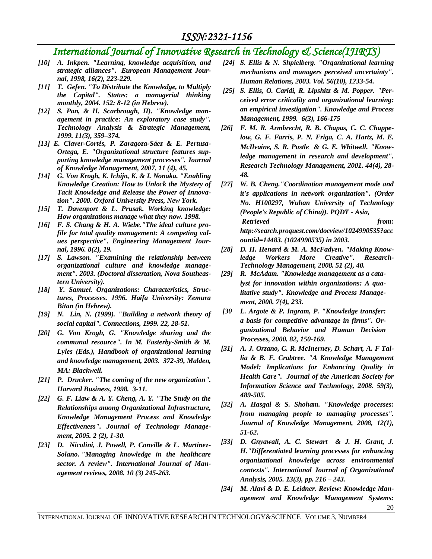# *International Journal of Innovative Research in Technology & Science(IJIRTS)*

- *[10] A. Inkpen. "Learning, knowledge acquisition, and strategic alliances". European Management Journal, 1998, 16(2), 223-229.*
- *[11] T. Gefen. "To Distribute the Knowledge, to Multiply the Capital". Status: a managerial thinking monthly, 2004. 152: 8-12 (in Hebrew).*
- *[12] S. Pan, & H. Scarbrough, H). "Knowledge management in practice: An exploratory case study". Technology Analysis & Strategic Management, 1999. 11(3), 359–374.*
- *[13] E. Claver-Cortés, P. Zaragoza-Sáez & E. Pertusa-Ortega, E. "Organizational structure features supporting knowledge management processes". Journal of Knowledge Management, 2007. 11 (4), 45.*
- *[14] G. Von Krogh, K. Ichijo, K. & I. Nonaka. "Enabling Knowledge Creation: How to Unlock the Mystery of Tacit Knowledge and Release the Power of Innovation". 2000. Oxford University Press, New York.*
- *[15] T. Davenport & L. Prusak. Working knowledge: How organizations manage what they now. 1998.*
- *[16] F. S. Chang & H. A. Wiebe."The ideal culture profile for total quality management: A competing values perspective". Engineering Management Journal, 1996. 8(2), 19.*
- *[17] S. Lawson. "Examining the relationship between organizational culture and knowledge management". 2003. (Doctoral dissertation, Nova Southeastern University).*
- *[18] Y. Samuel. Organizations: Characteristics, Structures, Processes. 1996. Haifa University: Zemura Bitan (in Hebrew).*
- *[19] N. Lin, N. (1999). "Building a network theory of social capital". Connections, 1999. 22, 28-51***.**
- *[20] G. Von Krogh, G. "Knowledge sharing and the communal resource". In M. Easterby-Smith & M. Lyles (Eds.), Handbook of organizational learning and knowledge management, 2003. 372-39, Malden, MA: Blackwell***.**
- *[21] P. Drucker. "The coming of the new organization". Harvard Business, 1998. 3-11.*
- *[22] G. F. Liaw & A. Y. Cheng, A. Y. "The Study on the Relationships among Organizational Infrastructure, Knowledge Management Process and Knowledge Effectiveness". Journal of Technology Management, 2005. 2 (2), 1-30.*
- *[23] D. Nicolini, J. Powell, P. Conville & L. Martinez-Solano. "Managing knowledge in the healthcare sector. A review". International Journal of Management reviews, 2008. 10 (3) 245-263.*
- *[24] S. Ellis & N. Shpielberg. "Organizational learning mechanisms and managers perceived uncertainty". Human Relations, 2003. Vol. 56(10), 1233-54.*
- *[25] S. Ellis, O. Caridi, R. Lipshitz & M. Popper. "Perceived error criticality and organizational learning: an empirical investigation". Knowledge and Process Management, 1999. 6(3), 166-175*
- *[26] F. M. R. Armbrecht, R. B. Chapas, C. C. Chappelow, G. F. Farris, P. N. Friga, C. A. Hartz, M. E. McIlvaine, S. R. Postle & G. E. Whitwell. "Knowledge management in research and development". Research Technology Management, 2001. 44(4), 28- 48.*
- *[27] W. B. Cheng."Coordination management mode and it's applications in network organization". (Order No. H100297, Wuhan University of Technology (People's Republic of China)). PQDT - Asia, Retrieved* from: *http://search.proquest.com/docview/1024990535?acc ountid=14483. (1024990535) in 2003.*
- *[28] D. H. Henard & M. A. McFadyen. "Making Knowledge Workers More Creative". Research-Technology Management, 2008. 51 (2), 40.*
- *[29] R. McAdam. "Knowledge management as a catalyst for innovation within organizations: A qualitative study". Knowledge and Process Management, 2000. 7(4), 233.*
- *[30 L. Argote & P. Ingram, P. "Knowledge transfer: a basis for competitive advantage in firms". Organizational Behavior and Human Decision Processes, 2000. 82, 150-169.*
- *[31] A. J. Orzano, C. R. McInerney, D. Schart, A. F Tallia & B. F. Crabtree. "A Knowledge Management Model: Implications for Enhancing Quality in Health Care". Journal of the American Society for Information Science and Technology, 2008. 59(3), 489-505.*
- *[32] A. Hasgal & S. Shoham. "Knowledge processes: from managing people to managing processes". Journal of Knowledge Management, 2008, 12(1), 51-62.*
- *[33] D. Gnyawali, A. C. Stewart & J. H. Grant, J. H."Differentiated learning processes for enhancing organizational knowledge across environmental contexts". International Journal of Organizational Analysis, 2005. 13(3), pp. 216 – 243.*
- *[34] M. Alavi & D. E. Leidner. Review: Knowledge Management and Knowledge Management Systems:*

20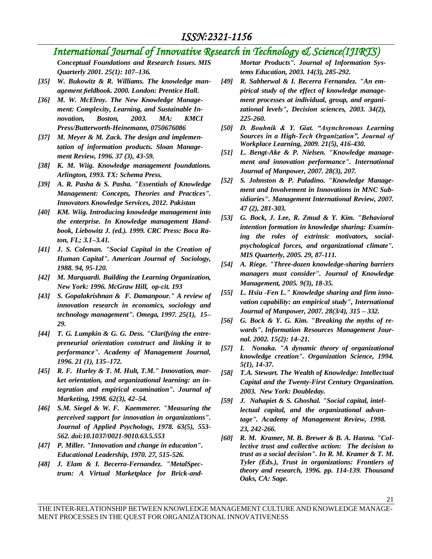# *International Journal of Innovative Research in Technology & Science(IJIRTS)*

*Conceptual Foundations and Research Issues. MIS Quarterly 2001. 25(1): 107–136.*

- *[35] W. Bukowitz & R. Williams. The knowledge management fieldbook***.** *2000. London: Prentice Hall***.**
- *[36] M. W. McElroy. The New Knowledge Management: Complexity, Learning, and Sustainable Innovation, Boston, 2003. MA: KMCI Press/Butterworth-Heinemann, 0750676086*
- *[37] M. Meyer & M. Zack. The design and implementation of information products. Sloan Management Review, 1996. 37 (3), 43-59.*
- *[38] K. M. Wiig. Knowledge management foundations. Arlington, 1993. TX: Schema Press.*
- *[39] A. R. Pasha & S. Pasha. "Essentials of Knowledge Management: Concepts, Theories and Practices". Innovators Knowledge Services, 2012. Pakistan*
- *[40] KM. Wiig. Introducing knowledge management into the enterprise. In Knowledge management Handbook, Liebowitz J. (ed.). 1999. CRC Press: Boca Raton, FL; 3.1–3.41.*
- *[41] J. S. Coleman. "Social Capital in the Creation of Human Capital". American Journal of Sociology, 1988. 94, 95-120***.**
- *[42] M. Marquardi. Building the Learning Organization, New York: 1996. McGraw Hill, op-cit. 193*
- *[43] S. Gopalakrishnan & F. Damanpour." A review of innovation research in economics, sociology and technology management". Omega, 1997. 25(1), 15– 29.*
- *[44] T. G. Lumpkin & G. G. Dess. "Clarifying the entrepreneurial orientation construct and linking it to performance". Academy of Management Journal, 1996. 21 (1), 135–172.*
- *[45] R. F. Hurley & T. M. Hult, T.M." Innovation, market orientation, and organizational learning: an integration and empirical examination". Journal of Marketing, 1998. 62(3), 42–54.*
- *[46] S.M. Siegel & W. F. Kaemmerer. "Measuring the perceived support for innovation in organizations". Journal of Applied Psychology, 1978. 63(5), 553- 562. doi:10.1037/0021-9010.63.5.553*
- *[47] P. Miller. "Innovation and change in education". Educational Leadership, 1970. 27, 515-526.*
- *[48] J. Elam & I. Becerra-Fernandez. "MetalSpectrum: A Virtual Marketplace for Brick-and-*

*Mortar Products". Journal of Information Systems Education, 2003. 14(3), 285-292.*

- *[49] R. Sabherwal & I. Becerra Fernandez. "An empirical study of the effect of knowledge management processes at individual, group, and organizational levels", Decision sciences, 2003. 34(2), 225-260.*
- *[50] D. Bouhnik & Y. Giat. "Asynchronous Learning Sources in a High-Tech Organization", Journal of Workplace Learning, 2009. 21(5), 416-430.*
- *[51] L. Bengt-Ake & P. Nielsen. "Knowledge management and innovation performance". International Journal of Manpower, 2007. 28(3), 207.*
- *[52] S. Johnston & P. Paladino. "Knowledge Management and Involvement in Innovations in MNC Subsidiaries". Management International Review, 2007. 47 (2), 281-303.*
- *[53] G. Bock, J. Lee, R. Zmud & Y. Kim. "Behavioral intention formation in knowledge sharing: Examining the roles of extrinsic motivators, socialpsychological forces, and organizational climate". MIS Quarterly, 2005. 29, 87-111.*
- *[54] A. Riege. "Three-dozen knowledge-sharing barriers managers must consider". Journal of Knowledge Management, 2005. 9(3), 18-35.*
- *[55] L. Hsiu -Fen L." Knowledge sharing and firm innovation capability: an empirical study", International Journal of Manpower, 2007. 28(3/4), 315 – 332.*
- *[56] G. Bock & Y. G. Kim. "Breaking the myths of rewards". Information Resources Management Journal. 2002. 15(2): 14–21.*
- *[57] I. Nonaka. "A dynamic theory of organizational knowledge creation". Organization Science, 1994. 5(1), 14-37.*
- *[58] T.A. Stewart. The Wealth of Knowledge: Intellectual Capital and the Twenty-First Century Organization. 2003. New York: Doubleday.*
- *[59] J. Nahapiet & S. Ghoshal. "Social capital, intellectual capital, and the organizational advantage". Academy of Management Review, 1998. 23, 242-266.*
- *[60] R. M. Kramer, M. B. Brewer & B. A. Hanna. "Collective trust and collective action: The decision to trust as a social decision". In R. M. Kramer & T. M. Tyler (Eds.), Trust in organizations: Frontiers of theory and research, 1996. pp. 114-139. Thousand Oaks, CA: Sage***.**